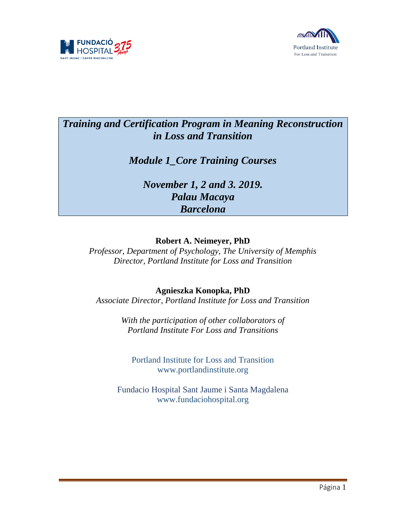



# *Training and Certification Program in Meaning Reconstruction in Loss and Transition*

*Module 1\_Core Training Courses*

*November 1, 2 and 3. 2019. Palau Macaya Barcelona*

## **Robert A. Neimeyer, PhD**

*Professor, Department of Psychology, The University of Memphis Director, Portland Institute for Loss and Transition*

## **Agnieszka Konopka, PhD**

*Associate Director, Portland Institute for Loss and Transition*

*With the participation of other collaborators of Portland Institute For Loss and Transitions* 

Portland Institute for Loss and Transition [www.portlandinstitute.org](http://www.portlandinstitute.org/)

Fundacio Hospital Sant Jaume i Santa Magdalena [www.fundaciohospital.org](http://www.portlandinstitute.org/)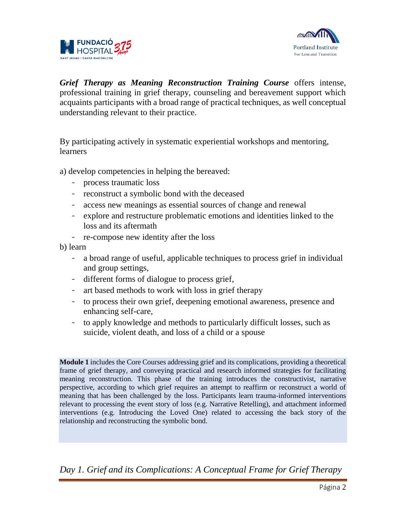



*Grief Therapy as Meaning Reconstruction Training Course* offers intense, professional training in grief therapy, counseling and bereavement support which acquaints participants with a broad range of practical techniques, as well conceptual understanding relevant to their practice.

By participating actively in systematic experiential workshops and mentoring, learners

a) develop competencies in helping the bereaved:

- process traumatic loss
- reconstruct a symbolic bond with the deceased
- access new meanings as essential sources of change and renewal
- explore and restructure problematic emotions and identities linked to the loss and its aftermath
- re-compose new identity after the loss

b) learn

- a broad range of useful, applicable techniques to process grief in individual and group settings,
- different forms of dialogue to process grief,
- art based methods to work with loss in grief therapy
- to process their own grief, deepening emotional awareness, presence and enhancing self-care,
- to apply knowledge and methods to particularly difficult losses, such as suicide, violent death, and loss of a child or a spouse

**Module 1** includes the Core Courses addressing grief and its complications, providing a theoretical frame of grief therapy, and conveying practical and research informed strategies for facilitating meaning reconstruction. This phase of the training introduces the constructivist, narrative perspective, according to which grief requires an attempt to reaffirm or reconstruct a world of meaning that has been challenged by the loss. Participants learn trauma-informed interventions relevant to processing the event story of loss (e.g. Narrative Retelling), and attachment informed interventions (e.g. Introducing the Loved One) related to accessing the back story of the relationship and reconstructing the symbolic bond.

*Day 1. Grief and its Complications: A Conceptual Frame for Grief Therapy*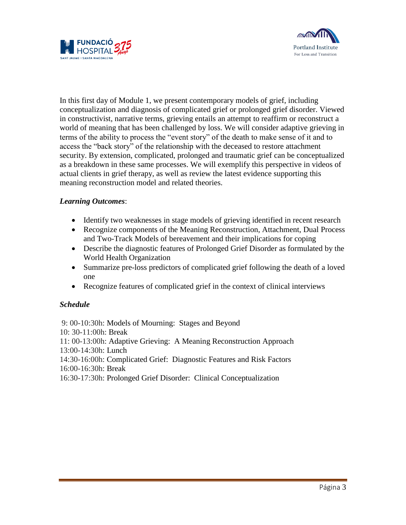



In this first day of Module 1, we present contemporary models of grief, including conceptualization and diagnosis of complicated grief or prolonged grief disorder. Viewed in constructivist, narrative terms, grieving entails an attempt to reaffirm or reconstruct a world of meaning that has been challenged by loss. We will consider adaptive grieving in terms of the ability to process the "event story" of the death to make sense of it and to access the "back story" of the relationship with the deceased to restore attachment security. By extension, complicated, prolonged and traumatic grief can be conceptualized as a breakdown in these same processes. We will exemplify this perspective in videos of actual clients in grief therapy, as well as review the latest evidence supporting this meaning reconstruction model and related theories.

#### *Learning Outcomes*:

- Identify two weaknesses in stage models of grieving identified in recent research
- Recognize components of the Meaning Reconstruction, Attachment, Dual Process and Two-Track Models of bereavement and their implications for coping
- Describe the diagnostic features of Prolonged Grief Disorder as formulated by the World Health Organization
- Summarize pre-loss predictors of complicated grief following the death of a loved one
- Recognize features of complicated grief in the context of clinical interviews

#### *Schedule*

9: 00-10:30h: Models of Mourning: Stages and Beyond 10: 30-11:00h: Break 11: 00-13:00h: Adaptive Grieving: A Meaning Reconstruction Approach 13:00-14:30h: Lunch 14:30-16:00h: Complicated Grief: Diagnostic Features and Risk Factors 16:00-16:30h: Break 16:30-17:30h: Prolonged Grief Disorder: Clinical Conceptualization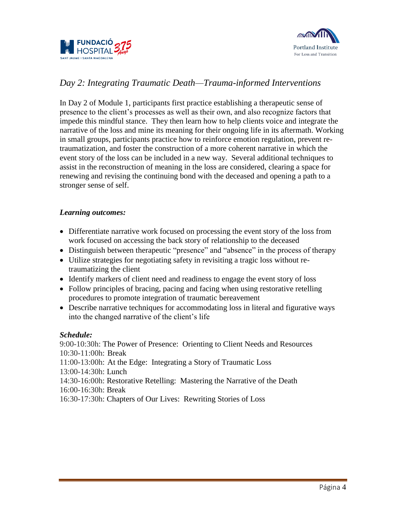



## *Day 2: Integrating Traumatic Death—Trauma-informed Interventions*

In Day 2 of Module 1, participants first practice establishing a therapeutic sense of presence to the client's processes as well as their own, and also recognize factors that impede this mindful stance. They then learn how to help clients voice and integrate the narrative of the loss and mine its meaning for their ongoing life in its aftermath. Working in small groups, participants practice how to reinforce emotion regulation, prevent retraumatization, and foster the construction of a more coherent narrative in which the event story of the loss can be included in a new way. Several additional techniques to assist in the reconstruction of meaning in the loss are considered, clearing a space for renewing and revising the continuing bond with the deceased and opening a path to a stronger sense of self.

#### *Learning outcomes:*

- Differentiate narrative work focused on processing the event story of the loss from work focused on accessing the back story of relationship to the deceased
- Distinguish between therapeutic "presence" and "absence" in the process of therapy
- Utilize strategies for negotiating safety in revisiting a tragic loss without retraumatizing the client
- Identify markers of client need and readiness to engage the event story of loss
- Follow principles of bracing, pacing and facing when using restorative retelling procedures to promote integration of traumatic bereavement
- Describe narrative techniques for accommodating loss in literal and figurative ways into the changed narrative of the client's life

#### *Schedule:*

9:00-10:30h: The Power of Presence: Orienting to Client Needs and Resources 10:30-11:00h: Break 11:00-13:00h: At the Edge: Integrating a Story of Traumatic Loss 13:00-14:30h: Lunch 14:30-16:00h: Restorative Retelling: Mastering the Narrative of the Death 16:00-16:30h: Break 16:30-17:30h: Chapters of Our Lives: Rewriting Stories of Loss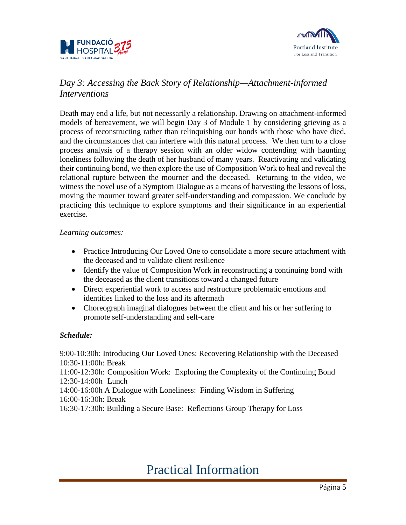



## *Day 3: Accessing the Back Story of Relationship—Attachment-informed Interventions*

Death may end a life, but not necessarily a relationship. Drawing on attachment-informed models of bereavement, we will begin Day 3 of Module 1 by considering grieving as a process of reconstructing rather than relinquishing our bonds with those who have died, and the circumstances that can interfere with this natural process. We then turn to a close process analysis of a therapy session with an older widow contending with haunting loneliness following the death of her husband of many years. Reactivating and validating their continuing bond, we then explore the use of Composition Work to heal and reveal the relational rupture between the mourner and the deceased. Returning to the video, we witness the novel use of a Symptom Dialogue as a means of harvesting the lessons of loss, moving the mourner toward greater self-understanding and compassion. We conclude by practicing this technique to explore symptoms and their significance in an experiential exercise.

#### *Learning outcomes:*

- Practice Introducing Our Loved One to consolidate a more secure attachment with the deceased and to validate client resilience
- Identify the value of Composition Work in reconstructing a continuing bond with the deceased as the client transitions toward a changed future
- Direct experiential work to access and restructure problematic emotions and identities linked to the loss and its aftermath
- Choreograph imaginal dialogues between the client and his or her suffering to promote self-understanding and self-care

#### *Schedule:*

9:00-10:30h: Introducing Our Loved Ones: Recovering Relationship with the Deceased 10:30-11:00h: Break 11:00-12:30h: Composition Work: Exploring the Complexity of the Continuing Bond 12:30-14:00h Lunch 14:00-16:00h A Dialogue with Loneliness: Finding Wisdom in Suffering 16:00-16:30h: Break 16:30-17:30h: Building a Secure Base: Reflections Group Therapy for Loss

# Practical Information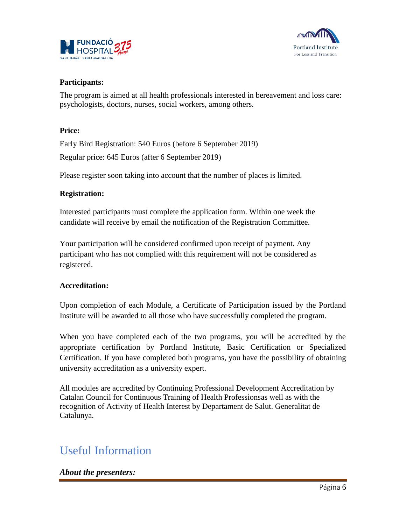



#### **Participants:**

The program is aimed at all health professionals interested in bereavement and loss care: psychologists, doctors, nurses, social workers, among others.

#### **Price:**

Early Bird Registration: 540 Euros (before 6 September 2019) Regular price: 645 Euros (after 6 September 2019)

Please register soon taking into account that the number of places is limited.

#### **Registration:**

Interested participants must complete the application form. Within one week the candidate will receive by email the notification of the Registration Committee.

Your participation will be considered confirmed upon receipt of payment. Any participant who has not complied with this requirement will not be considered as registered.

#### **Accreditation:**

Upon completion of each Module, a Certificate of Participation issued by the Portland Institute will be awarded to all those who have successfully completed the program.

When you have completed each of the two programs, you will be accredited by the appropriate certification by Portland Institute, Basic Certification or Specialized Certification. If you have completed both programs, you have the possibility of obtaining university accreditation as a university expert.

All modules are accredited by Continuing Professional Development Accreditation by Catalan Council for Continuous Training of Health Professionsas well as with the recognition of Activity of Health Interest by Departament de Salut. Generalitat de Catalunya.

# Useful Information

#### *About the presenters:*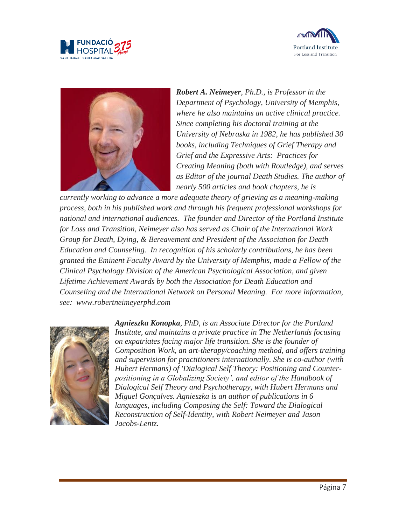





*Robert A. Neimeyer, Ph.D., is Professor in the Department of Psychology, University of Memphis, where he also maintains an active clinical practice. Since completing his doctoral training at the University of Nebraska in 1982, he has published 30 books, including Techniques of Grief Therapy and Grief and the Expressive Arts: Practices for Creating Meaning (both with Routledge), and serves as Editor of the journal Death Studies. The author of nearly 500 articles and book chapters, he is* 

*currently working to advance a more adequate theory of grieving as a meaning-making process, both in his published work and through his frequent professional workshops for national and international audiences. The founder and Director of the Portland Institute for Loss and Transition, Neimeyer also has served as Chair of the International Work Group for Death, Dying, & Bereavement and President of the Association for Death Education and Counseling. In recognition of his scholarly contributions, he has been granted the Eminent Faculty Award by the University of Memphis, made a Fellow of the Clinical Psychology Division of the American Psychological Association, and given Lifetime Achievement Awards by both the Association for Death Education and Counseling and the International Network on Personal Meaning. For more information, see: [www.robertneimeyerphd.com](http://www.robertneimeyerphd.com/)*



*Agnieszka Konopka, PhD, is an Associate Director for the Portland Institute, and maintains a private practice in The Netherlands focusing on expatriates facing major life transition. She is the founder of Composition Work, an art-therapy/coaching method, and offers training and supervision for practitioners internationally. She is co-author (with Hubert Hermans) of 'Dialogical Self Theory: Positioning and Counterpositioning in a Globalizing Society', and editor of the Handbook of Dialogical Self Theory and Psychotherapy, with Hubert Hermans and Miguel Gonçalves. Agnieszka is an author of publications in 6 languages, including Composing the Self: Toward the Dialogical Reconstruction of Self-Identity, with Robert Neimeyer and Jason Jacobs-Lentz.*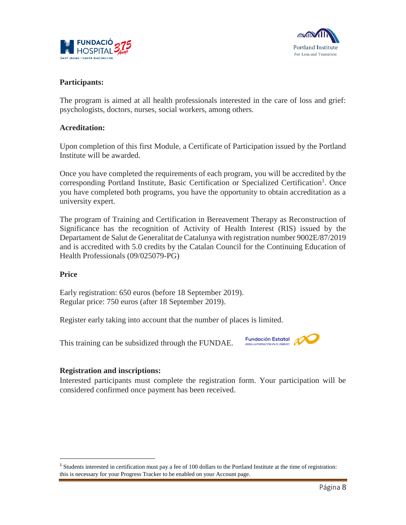



#### **Participants:**

The program is aimed at all health professionals interested in the care of loss and grief: psychologists, doctors, nurses, social workers, among others.

#### **Acreditation:**

Upon completion of this first Module, a Certificate of Participation issued by the Portland Institute will be awarded.

Once you have completed the requirements of each program, you will be accredited by the corresponding Portland Institute, Basic Certification or Specialized Certification<sup>1</sup>. Once you have completed both programs, you have the opportunity to obtain accreditation as a university expert.

The program of Training and Certification in Bereavement Therapy as Reconstruction of Significance has the recognition of Activity of Health Interest (RIS) issued by the Departament de Salut de Generalitat de Catalunya with registration number 9002E/87/2019 and is accredited with 5.0 credits by the Catalan Council for the Continuing Education of Health Professionals (09/025079-PG)

#### **Price**

 $\overline{a}$ 

Early registration: 650 euros (before 18 September 2019). Regular price: 750 euros (after 18 September 2019).

Register early taking into account that the number of places is limited.

This training can be subsidized through the FUNDAE.



#### **Registration and inscriptions:**

Interested participants must complete the registration form. Your participation will be considered confirmed once payment has been received.

<sup>&</sup>lt;sup>1</sup> Students interested in certification must pay a fee of 100 dollars to the Portland Institute at the time of registration: this is necessary for your Progress Tracker to be enabled on your Account page.